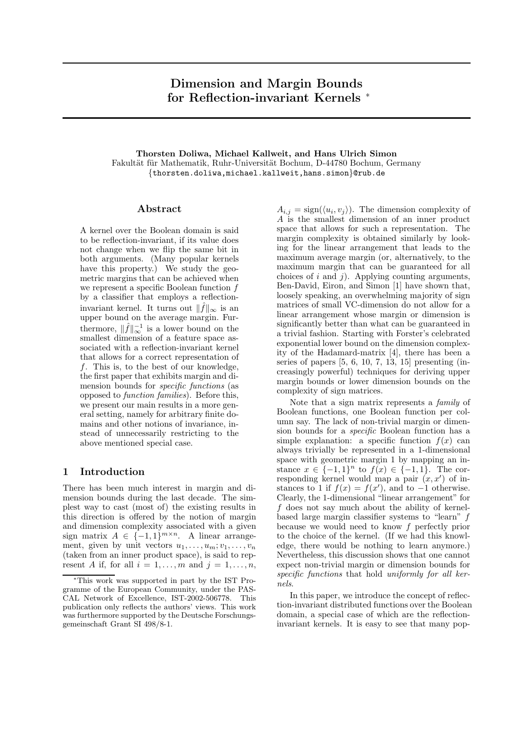# Dimension and Margin Bounds for Reflection-invariant Kernels <sup>∗</sup>

Thorsten Doliwa, Michael Kallweit, and Hans Ulrich Simon Fakultät für Mathematik, Ruhr-Universität Bochum, D-44780 Bochum, Germany {thorsten.doliwa,michael.kallweit,hans.simon}@rub.de

## Abstract

A kernel over the Boolean domain is said to be reflection-invariant, if its value does not change when we flip the same bit in both arguments. (Many popular kernels have this property.) We study the geometric margins that can be achieved when we represent a specific Boolean function f by a classifier that employs a reflectioninvariant kernel. It turns out  $\|\hat{f}\|_{\infty}$  is an upper bound on the average margin. Furthermore,  $\|\hat{f}\|_{\infty}^{-1}$  is a lower bound on the smallest dimension of a feature space associated with a reflection-invariant kernel that allows for a correct representation of  $f$ . This is, to the best of our knowledge, the first paper that exhibits margin and dimension bounds for specific functions (as opposed to function families). Before this, we present our main results in a more general setting, namely for arbitrary finite domains and other notions of invariance, instead of unnecessarily restricting to the above mentioned special case.

## 1 Introduction

There has been much interest in margin and dimension bounds during the last decade. The simplest way to cast (most of) the existing results in this direction is offered by the notion of margin and dimension complexity associated with a given sign matrix  $A \in \{-1,1\}^{m \times n}$ . A linear arrangement, given by unit vectors  $u_1, \ldots, u_m; v_1, \ldots, v_n$ (taken from an inner product space), is said to represent A if, for all  $i = 1, \ldots, m$  and  $j = 1, \ldots, n$ ,

 $A_{i,j} = \text{sign}(\langle u_i, v_j \rangle)$ . The dimension complexity of A is the smallest dimension of an inner product space that allows for such a representation. The margin complexity is obtained similarly by looking for the linear arrangement that leads to the maximum average margin (or, alternatively, to the maximum margin that can be guaranteed for all choices of  $i$  and  $j$ ). Applying counting arguments, Ben-David, Eiron, and Simon [1] have shown that, loosely speaking, an overwhelming majority of sign matrices of small VC-dimension do not allow for a linear arrangement whose margin or dimension is significantly better than what can be guaranteed in a trivial fashion. Starting with Forster's celebrated exponential lower bound on the dimension complexity of the Hadamard-matrix [4], there has been a series of papers  $[5, 6, 10, 7, 13, 15]$  presenting (increasingly powerful) techniques for deriving upper margin bounds or lower dimension bounds on the complexity of sign matrices.

Note that a sign matrix represents a family of Boolean functions, one Boolean function per column say. The lack of non-trivial margin or dimension bounds for a specific Boolean function has a simple explanation: a specific function  $f(x)$  can always trivially be represented in a 1-dimensional space with geometric margin 1 by mapping an instance  $x \in \{-1,1\}^n$  to  $f(x) \in \{-1,1\}$ . The corresponding kernel would map a pair  $(x, x')$  of instances to 1 if  $f(x) = f(x')$ , and to -1 otherwise. Clearly, the 1-dimensional "linear arrangement" for f does not say much about the ability of kernelbased large margin classifier systems to "learn" f because we would need to know f perfectly prior to the choice of the kernel. (If we had this knowledge, there would be nothing to learn anymore.) Nevertheless, this discussion shows that one cannot expect non-trivial margin or dimension bounds for specific functions that hold uniformly for all kernels.

In this paper, we introduce the concept of reflection-invariant distributed functions over the Boolean domain, a special case of which are the reflectioninvariant kernels. It is easy to see that many pop-

<sup>∗</sup>This work was supported in part by the IST Programme of the European Community, under the PAS-CAL Network of Excellence, IST-2002-506778. This publication only reflects the authors' views. This work was furthermore supported by the Deutsche Forschungsgemeinschaft Grant SI 498/8-1.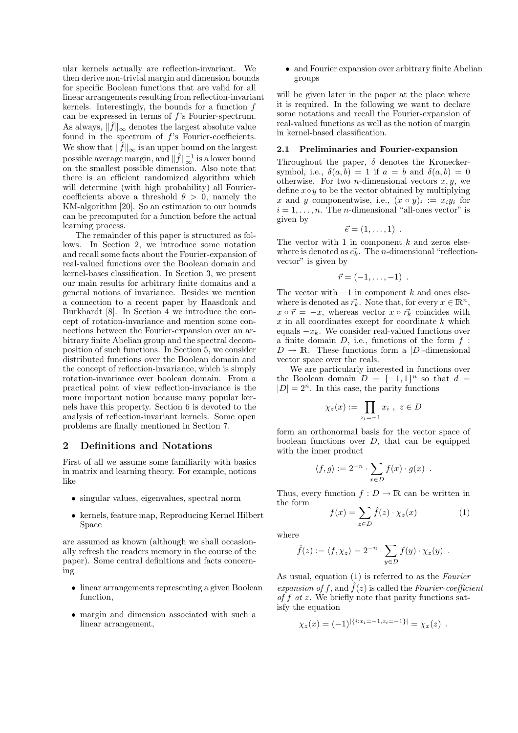ular kernels actually are reflection-invariant. We then derive non-trivial margin and dimension bounds for specific Boolean functions that are valid for all linear arrangements resulting from reflection-invariant kernels. Interestingly, the bounds for a function  $f$ can be expressed in terms of f's Fourier-spectrum. As always,  $\|\hat{f}\|_{\infty}$  denotes the largest absolute value found in the spectrum of  $f$ 's Fourier-coefficients. We show that  $\|\hat{f}\|_{\infty}$  is an upper bound on the largest possible average margin, and  $\|\hat{f}\|_{\infty}^{-1}$  is a lower bound on the smallest possible dimension. Also note that there is an efficient randomized algorithm which will determine (with high probability) all Fouriercoefficients above a threshold  $\theta > 0$ , namely the KM-algorithm [20]. So an estimation to our bounds can be precomputed for a function before the actual learning process.

The remainder of this paper is structured as follows. In Section 2, we introduce some notation and recall some facts about the Fourier-expansion of real-valued functions over the Boolean domain and kernel-bases classification. In Section 3, we present our main results for arbitrary finite domains and a general notions of invariance. Besides we mention a connection to a recent paper by Haasdonk and Burkhardt [8]. In Section 4 we introduce the concept of rotation-invariance and mention some connections between the Fourier-expansion over an arbitrary finite Abelian group and the spectral decomposition of such functions. In Section 5, we consider distributed functions over the Boolean domain and the concept of reflection-invariance, which is simply rotation-invariance over boolean domain. From a practical point of view reflection-invariance is the more important notion because many popular kernels have this property. Section 6 is devoted to the analysis of reflection-invariant kernels. Some open problems are finally mentioned in Section 7.

#### 2 Definitions and Notations

First of all we assume some familiarity with basics in matrix and learning theory. For example, notions like

- singular values, eigenvalues, spectral norm
- kernels, feature map, Reproducing Kernel Hilbert Space

are assumed as known (although we shall occasionally refresh the readers memory in the course of the paper). Some central definitions and facts concerning

- linear arrangements representing a given Boolean function,
- margin and dimension associated with such a linear arrangement,

• and Fourier expansion over arbitrary finite Abelian groups

will be given later in the paper at the place where it is required. In the following we want to declare some notations and recall the Fourier-expansion of real-valued functions as well as the notion of margin in kernel-based classification.

#### 2.1 Preliminaries and Fourier-expansion

Throughout the paper,  $\delta$  denotes the Kroneckersymbol, i.e.,  $\delta(a, b) = 1$  if  $a = b$  and  $\delta(a, b) = 0$ otherwise. For two *n*-dimensional vectors  $x, y$ , we define  $x \circ y$  to be the vector obtained by multiplying x and y componentwise, i.e.,  $(x \circ y)_i := x_i y_i$  for  $i = 1, \ldots, n$ . The *n*-dimensional "all-ones vector" is given by

$$
\vec{e}=(1,\ldots,1) .
$$

The vector with 1 in component  $k$  and zeros elsewhere is denoted as  $\vec{e_k}$ . The *n*-dimensional "reflectionvector" is given by

$$
\vec{r}=(-1,\ldots,-1) .
$$

The vector with  $-1$  in component k and ones elsewhere is denoted as  $\vec{r_k}$ . Note that, for every  $x \in \mathbb{R}^n$ ,  $x \circ \vec{r} = -x$ , whereas vector  $x \circ \vec{r}$  coincides with  $x$  in all coordinates except for coordinate  $k$  which equals  $-x_k$ . We consider real-valued functions over a finite domain  $D$ , i.e., functions of the form  $f$ :  $D \to \mathbb{R}$ . These functions form a |D|-dimensional vector space over the reals.

We are particularly interested in functions over the Boolean domain  $D = \{-1, 1\}^n$  so that  $d =$  $|D| = 2^n$ . In this case, the parity functions

$$
\chi_z(x) := \prod_{z_i = -1} x_i , z \in D
$$

form an orthonormal basis for the vector space of boolean functions over  $D$ , that can be equipped with the inner product

$$
\langle f, g \rangle := 2^{-n} \cdot \sum_{x \in D} f(x) \cdot g(x) .
$$

Thus, every function  $f: D \to \mathbb{R}$  can be written in the form

$$
f(x) = \sum_{z \in D} \hat{f}(z) \cdot \chi_z(x) \tag{1}
$$

where

$$
\hat{f}(z) := \langle f, \chi_z \rangle = 2^{-n} \cdot \sum_{y \in D} f(y) \cdot \chi_z(y) .
$$

As usual, equation (1) is referred to as the Fourier expansion of f, and  $\hat{f}(z)$  is called the Fourier-coefficient of  $f$  at  $z$ . We briefly note that parity functions satisfy the equation

$$
\chi_z(x) = (-1)^{|\{i:x_i = -1, z_i = -1\}|} = \chi_x(z) .
$$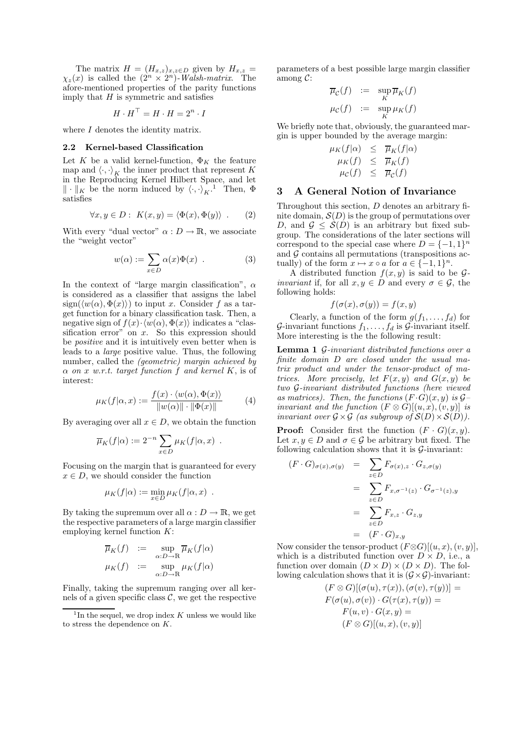The matrix  $H = (H_{x,z})_{x,z \in D}$  given by  $H_{x,z} =$  $\chi_z(x)$  is called the  $(2^n \times 2^n)$ -Walsh-matrix. The afore-mentioned properties of the parity functions imply that  $H$  is symmetric and satisfies

$$
H \cdot H^{\top} = H \cdot H = 2^n \cdot I
$$

where  $I$  denotes the identity matrix.

#### 2.2 Kernel-based Classification

Let K be a valid kernel-function,  $\Phi_K$  the feature map and  $\langle \cdot, \cdot \rangle_K$  the inner product that represent K in the Reproducing Kernel Hilbert Space, and let  $\|\cdot\|_K$  be the norm induced by  $\langle \cdot, \cdot \rangle_K$ .<sup>1</sup> Then,  $\Phi$ satisfies

$$
\forall x, y \in D: K(x, y) = \langle \Phi(x), \Phi(y) \rangle . \qquad (2)
$$

With every "dual vector"  $\alpha : D \to \mathbb{R}$ , we associate the "weight vector"

$$
w(\alpha) := \sum_{x \in D} \alpha(x) \Phi(x) . \tag{3}
$$

In the context of "large margin classification",  $\alpha$ is considered as a classifier that assigns the label  $sign(\langle w(\alpha), \Phi(x)\rangle)$  to input x. Consider f as a target function for a binary classification task. Then, a negative sign of  $f(x) \cdot \langle w(\alpha), \Phi(x) \rangle$  indicates a "classification error" on  $x$ . So this expression should be positive and it is intuitively even better when is leads to a large positive value. Thus, the following number, called the (geometric) margin achieved by  $\alpha$  on x w.r.t. target function f and kernel K, is of interest:

$$
\mu_K(f|\alpha, x) := \frac{f(x) \cdot \langle w(\alpha), \Phi(x) \rangle}{\|w(\alpha)\| \cdot \|\Phi(x)\|} \tag{4}
$$

By averaging over all  $x \in D$ , we obtain the function

$$
\overline{\mu}_K(f|\alpha) := 2^{-n} \sum_{x \in D} \mu_K(f|\alpha, x) .
$$

Focusing on the margin that is guaranteed for every  $x \in D$ , we should consider the function

$$
\mu_K(f|\alpha) := \min_{x \in D} \mu_K(f|\alpha, x) .
$$

By taking the supremum over all  $\alpha : D \to \mathbb{R}$ , we get the respective parameters of a large margin classifier employing kernel function  $K$ :

$$
\overline{\mu}_K(f) := \sup_{\alpha:D \to \mathbb{R}} \overline{\mu}_K(f|\alpha)
$$

$$
\mu_K(f) := \sup_{\alpha:D \to \mathbb{R}} \mu_K(f|\alpha)
$$

Finally, taking the supremum ranging over all kernels of a given specific class  $\mathcal{C}$ , we get the respective parameters of a best possible large margin classifier among C:

$$
\overline{\mu}_{\mathcal{C}}(f) := \sup_{K} \overline{\mu}_{K}(f)
$$

$$
\mu_{\mathcal{C}}(f) := \sup_{K} \mu_{K}(f)
$$

We briefly note that, obviously, the guaranteed margin is upper bounded by the average margin:

$$
\mu_K(f|\alpha) \leq \overline{\mu}_K(f|\alpha) \n\mu_K(f) \leq \overline{\mu}_K(f) \n\mu_C(f) \leq \overline{\mu}_C(f)
$$

## 3 A General Notion of Invariance

Throughout this section, D denotes an arbitrary finite domain,  $\mathcal{S}(D)$  is the group of permutations over D, and  $\mathcal{G} \leq \mathcal{S}(D)$  is an arbitrary but fixed subgroup. The considerations of the later sections will correspond to the special case where  $D = \{-1, 1\}^n$ and  $G$  contains all permutations (transpositions actually) of the form  $x \mapsto x \circ a$  for  $a \in \{-1, 1\}^n$ .

A distributed function  $f(x, y)$  is said to be  $\mathcal{G}$ *invariant* if, for all  $x, y \in D$  and every  $\sigma \in \mathcal{G}$ , the following holds:

$$
f(\sigma(x), \sigma(y)) = f(x, y)
$$

Clearly, a function of the form  $g(f_1, \ldots, f_d)$  for G-invariant functions  $f_1, \ldots, f_d$  is G-invariant itself. More interesting is the the following result:

Lemma 1 G-invariant distributed functions over a finite domain D are closed under the usual matrix product and under the tensor-product of matrices. More precisely, let  $F(x, y)$  and  $G(x, y)$  be two G-invariant distributed functions (here viewed as matrices). Then, the functions  $(F \cdot G)(x, y)$  is  $\mathcal{G}$ invariant and the function  $(F \otimes G)[(u, x), (v, y)]$  is invariant over  $\mathcal{G} \times \mathcal{G}$  (as subgroup of  $\mathcal{S}(D) \times \mathcal{S}(D)$ ).

**Proof:** Consider first the function  $(F \cdot G)(x, y)$ . Let  $x, y \in D$  and  $\sigma \in \mathcal{G}$  be arbitrary but fixed. The following calculation shows that it is  $\mathcal{G}\text{-invariant}:$ 

$$
(F \cdot G)_{\sigma(x),\sigma(y)} = \sum_{z \in D} F_{\sigma(x),z} \cdot G_{z,\sigma(y)}
$$
  

$$
= \sum_{z \in D} F_{x,\sigma^{-1}(z)} \cdot G_{\sigma^{-1}(z),y}
$$
  

$$
= \sum_{z \in D} F_{x,z} \cdot G_{z,y}
$$
  

$$
= (F \cdot G)_{x,y}
$$

Now consider the tensor-product  $(F \otimes G)[(u, x), (v, y)],$ which is a distributed function over  $D \times D$ , i.e., a function over domain  $(D \times D) \times (D \times D)$ . The following calculation shows that it is  $(G \times G)$ -invariant:

$$
(F \otimes G)[(\sigma(u), \tau(x)), (\sigma(v), \tau(y))] =
$$
  
\n
$$
F(\sigma(u), \sigma(v)) \cdot G(\tau(x), \tau(y)) =
$$
  
\n
$$
F(u, v) \cdot G(x, y) =
$$
  
\n
$$
(F \otimes G)[(u, x), (v, y)]
$$

<sup>&</sup>lt;sup>1</sup>In the sequel, we drop index  $K$  unless we would like to stress the dependence on K.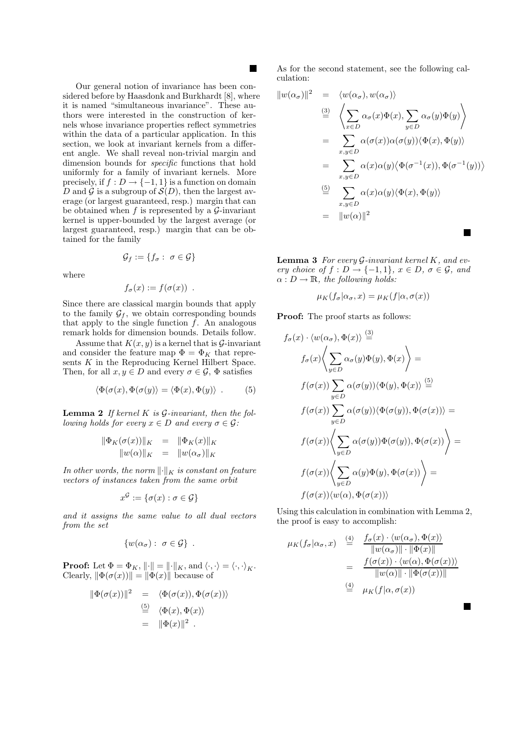Our general notion of invariance has been considered before by Haasdonk and Burkhardt [8], where it is named "simultaneous invariance". These authors were interested in the construction of kernels whose invariance properties reflect symmetries within the data of a particular application. In this section, we look at invariant kernels from a different angle. We shall reveal non-trivial margin and dimension bounds for specific functions that hold uniformly for a family of invariant kernels. More precisely, if  $f: D \to \{-1,1\}$  is a function on domain D and G is a subgroup of  $\mathcal{S}(D)$ , then the largest average (or largest guaranteed, resp.) margin that can be obtained when  $f$  is represented by a  $\mathcal{G}$ -invariant kernel is upper-bounded by the largest average (or largest guaranteed, resp.) margin that can be obtained for the family

$$
\mathcal{G}_f := \{f_\sigma: \ \sigma \in \mathcal{G}\}
$$

where

$$
f_{\sigma}(x) := f(\sigma(x)) .
$$

Since there are classical margin bounds that apply to the family  $\mathcal{G}_f$ , we obtain corresponding bounds that apply to the single function  $\bar{f}$ . An analogous remark holds for dimension bounds. Details follow.

Assume that  $K(x, y)$  is a kernel that is  $\mathcal{G}\text{-invariant}$ and consider the feature map  $\Phi = \Phi_K$  that represents  $K$  in the Reproducing Kernel Hilbert Space. Then, for all  $x, y \in D$  and every  $\sigma \in \mathcal{G}$ ,  $\Phi$  satisfies

$$
\langle \Phi(\sigma(x), \Phi(\sigma(y)) \rangle = \langle \Phi(x), \Phi(y) \rangle . \tag{5}
$$

**Lemma 2** If kernel  $K$  is  $G$ -invariant, then the following holds for every  $x \in D$  and every  $\sigma \in \mathcal{G}$ :

$$
\begin{array}{rcl}\n\|\Phi_K(\sigma(x))\|_K & = & \|\Phi_K(x)\|_K \\
\|w(\alpha)\|_K & = & \|w(\alpha_\sigma)\|_K\n\end{array}
$$

In other words, the norm  $\lVert \cdot \rVert_K$  is constant on feature vectors of instances taken from the same orbit

$$
x^{\mathcal{G}} := \{ \sigma(x) : \sigma \in \mathcal{G} \}
$$

and it assigns the same value to all dual vectors from the set

$$
\{w(\alpha_{\sigma}): \sigma \in \mathcal{G}\} .
$$

**Proof:** Let  $\Phi = \Phi_K$ ,  $\|\cdot\| = \|\cdot\|_K$ , and  $\langle \cdot, \cdot \rangle = \langle \cdot, \cdot \rangle_K$ . Clearly,  $\|\Phi(\sigma(x))\| = \|\Phi(x)\|$  because of

$$
\|\Phi(\sigma(x))\|^2 = \langle \Phi(\sigma(x)), \Phi(\sigma(x)) \rangle
$$
  

$$
\stackrel{\text{(5)}}{=} \langle \Phi(x), \Phi(x) \rangle
$$
  

$$
= \|\Phi(x)\|^2.
$$

As for the second statement, see the following calculation:

$$
||w(\alpha_{\sigma})||^{2} = \langle w(\alpha_{\sigma}), w(\alpha_{\sigma}) \rangle
$$
  
\n
$$
\stackrel{(3)}{=} \left\langle \sum_{x \in D} \alpha_{\sigma}(x) \Phi(x), \sum_{y \in D} \alpha_{\sigma}(y) \Phi(y) \right\rangle
$$
  
\n
$$
= \sum_{x,y \in D} \alpha(\sigma(x)) \alpha(\sigma(y)) \langle \Phi(x), \Phi(y) \rangle
$$
  
\n
$$
= \sum_{x,y \in D} \alpha(x) \alpha(y) \langle \Phi(\sigma^{-1}(x)), \Phi(\sigma^{-1}(y)) \rangle
$$
  
\n
$$
\stackrel{(5)}{=} \sum_{x,y \in D} \alpha(x) \alpha(y) \langle \Phi(x), \Phi(y) \rangle
$$
  
\n
$$
= ||w(\alpha)||^{2}
$$

**Lemma 3** For every  $\mathcal{G}\text{-}invariant$  kernel K, and every choice of  $f: D \to \{-1,1\}$ ,  $x \in D$ ,  $\sigma \in \mathcal{G}$ , and  $\alpha : D \to \mathbb{R}$ , the following holds:

$$
\mu_K(f_\sigma|\alpha_\sigma, x) = \mu_K(f|\alpha, \sigma(x))
$$

Proof: The proof starts as follows:

$$
f_{\sigma}(x) \cdot \langle w(\alpha_{\sigma}), \Phi(x) \rangle \stackrel{(3)}{=} f_{\sigma}(x) \Biggl\langle \sum_{y \in D} \alpha_{\sigma}(y) \Phi(y), \Phi(x) \Biggr\rangle = f(\sigma(x)) \sum_{y \in D} \alpha(\sigma(y)) \langle \Phi(y), \Phi(x) \rangle \stackrel{(5)}{=} f(\sigma(x)) \sum_{y \in D} \alpha(\sigma(y)) \langle \Phi(\sigma(y)), \Phi(\sigma(x)) \rangle = f(\sigma(x)) \Biggl\langle \sum_{y \in D} \alpha(\sigma(y)) \Phi(\sigma(y)), \Phi(\sigma(x)) \Biggr\rangle = f(\sigma(x)) \Biggl\langle \sum_{y \in D} \alpha(y) \Phi(y), \Phi(\sigma(x)) \Biggr\rangle = f(\sigma(x)) \langle w(\alpha), \Phi(\sigma(x)) \rangle
$$

Using this calculation in combination with Lemma 2, the proof is easy to accomplish:

$$
\mu_K(f_\sigma|\alpha_\sigma, x) \stackrel{(4)}{=} \frac{f_\sigma(x) \cdot \langle w(\alpha_\sigma), \Phi(x) \rangle}{\|w(\alpha_\sigma)\| \cdot \|\Phi(x)\|}
$$

$$
= \frac{f(\sigma(x)) \cdot \langle w(\alpha), \Phi(\sigma(x)) \rangle}{\|w(\alpha)\| \cdot \|\Phi(\sigma(x))\|}
$$

$$
\stackrel{(4)}{=} \mu_K(f|\alpha, \sigma(x))
$$

**The Second Service**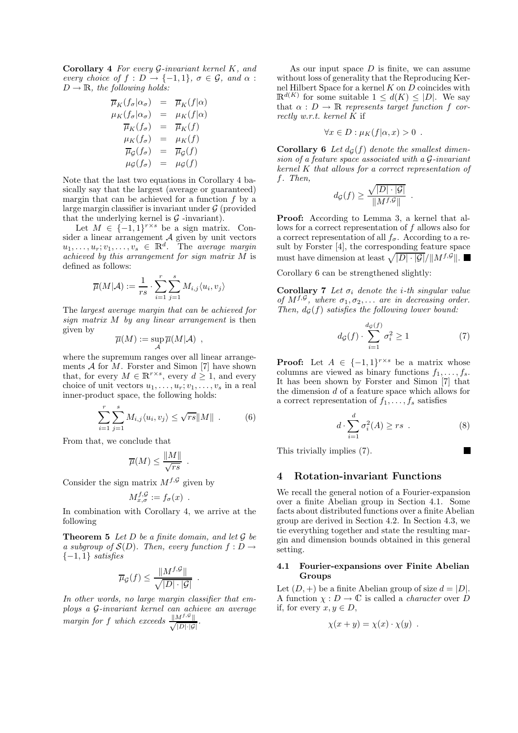Corollary 4 For every G-invariant kernel K, and every choice of  $f : D \to \{-1,1\}$ ,  $\sigma \in \mathcal{G}$ , and  $\alpha$ :  $D \to \mathbb{R}$ , the following holds:

$$
\overline{\mu}_K(f_{\sigma}|\alpha_{\sigma}) = \overline{\mu}_K(f|\alpha) \n\mu_K(f_{\sigma}|\alpha_{\sigma}) = \mu_K(f|\alpha) \n\overline{\mu}_K(f_{\sigma}) = \overline{\mu}_K(f) \n\mu_K(f_{\sigma}) = \mu_K(f) \n\overline{\mu}_G(f_{\sigma}) = \overline{\mu}_G(f) \n\mu_G(f_{\sigma}) = \mu_G(f)
$$

Note that the last two equations in Corollary 4 basically say that the largest (average or guaranteed) margin that can be achieved for a function  $f$  by a large margin classifier is invariant under  $\mathcal G$  (provided that the underlying kernel is  $G$  -invariant).

Let  $M \in \{-1,1\}^{r \times s}$  be a sign matrix. Consider a linear arrangement  $A$  given by unit vectors  $u_1, \ldots, u_r; v_1, \ldots, v_s \in \mathbb{R}^d$ . The average margin achieved by this arrangement for sign matrix M is defined as follows:

$$
\overline{\mu}(M|\mathcal{A}) := \frac{1}{rs} \cdot \sum_{i=1}^r \sum_{j=1}^s M_{i,j} \langle u_i, v_j \rangle
$$

The largest average margin that can be achieved for sign matrix M by any linear arrangement is then given by

$$
\overline{\mu}(M) := \sup_{\mathcal{A}} \overline{\mu}(M|\mathcal{A}) ,
$$

where the supremum ranges over all linear arrangements  $A$  for  $M$ . Forster and Simon [7] have shown that, for every  $M \in \mathbb{R}^{r \times s}$ , every  $d \geq 1$ , and every choice of unit vectors  $u_1, \ldots, u_r; v_1, \ldots, v_s$  in a real inner-product space, the following holds:

$$
\sum_{i=1}^r \sum_{j=1}^s M_{i,j} \langle u_i, v_j \rangle \le \sqrt{rs} ||M|| \quad . \tag{6}
$$

From that, we conclude that

$$
\overline{\mu}(M) \le \frac{\|M\|}{\sqrt{rs}} .
$$

Consider the sign matrix  $M^{f, \mathcal{G}}$  given by

$$
M_{x,\sigma}^{f,\mathcal{G}} := f_{\sigma}(x) .
$$

In combination with Corollary 4, we arrive at the following

**Theorem 5** Let  $D$  be a finite domain, and let  $\mathcal G$  be a subgroup of  $\mathcal{S}(D)$ . Then, every function  $f: D \to$  $\{-1,1\}$  satisfies

$$
\overline{\mu}_{\mathcal{G}}(f) \le \frac{\|M^{f,\mathcal{G}}\|}{\sqrt{|D| \cdot |\mathcal{G}|}}
$$

.

In other words, no large margin classifier that employs a G-invariant kernel can achieve an average margin for f which exceeds  $\frac{\|M^{f,g}\|}{\sqrt{|D|\cdot|G}}$  $|D|\cdot|\mathcal{G}|$ .

As our input space  $D$  is finite, we can assume without loss of generality that the Reproducing Kernel Hilbert Space for a kernel  $K$  on  $D$  coincides with  $\mathbb{R}^{d(K)}$  for some suitable  $1 \leq d(K) \leq |D|$ . We say that  $\alpha : D \to \mathbb{R}$  represents target function f correctly w.r.t. kernel  $K$  if

$$
\forall x \in D : \mu_K(f|\alpha, x) > 0 .
$$

Corollary 6 Let  $d_G(f)$  denote the smallest dimension of a feature space associated with a G-invariant kernel K that allows for a correct representation of f. Then,

$$
d_{\mathcal{G}}(f) \ge \frac{\sqrt{|D| \cdot |\mathcal{G}|}}{\|M^{f, \mathcal{G}}\|}
$$

Proof: According to Lemma 3, a kernel that allows for a correct representation of  $f$  allows also for a correct representation of all  $f_{\sigma}$ . According to a result by Forster [4], the corresponding feature space must have dimension at least  $\sqrt{|D| \cdot |\mathcal{G}|} / ||M^{f, \mathcal{G}}||$ .

Corollary 6 can be strengthened slightly:

Corollary 7 Let  $\sigma_i$  denote the *i*-th singular value of  $M^{f, \mathcal{G}}$ , where  $\sigma_1, \sigma_2, \ldots$  are in decreasing order. Then,  $d_G(f)$  satisfies the following lower bound:

$$
d_{\mathcal{G}}(f) \cdot \sum_{i=1}^{d_{\mathcal{G}}(f)} \sigma_i^2 \ge 1 \tag{7}
$$

.

**Proof:** Let  $A \in \{-1,1\}^{r \times s}$  be a matrix whose columns are viewed as binary functions  $f_1, \ldots, f_s$ . It has been shown by Forster and Simon [7] that the dimension d of a feature space which allows for a correct representation of  $f_1, \ldots, f_s$  satisfies

$$
d \cdot \sum_{i=1}^{d} \sigma_i^2(A) \ge rs \tag{8}
$$

This trivially implies (7).

### 4 Rotation-invariant Functions

We recall the general notion of a Fourier-expansion over a finite Abelian group in Section 4.1. Some facts about distributed functions over a finite Abelian group are derived in Section 4.2. In Section 4.3, we tie everything together and state the resulting margin and dimension bounds obtained in this general setting.

#### 4.1 Fourier-expansions over Finite Abelian Groups

Let  $(D,+)$  be a finite Abelian group of size  $d = |D|$ . A function  $\chi : D \to \mathbb{C}$  is called a *character* over D if, for every  $x, y \in D$ ,

$$
\chi(x + y) = \chi(x) \cdot \chi(y) .
$$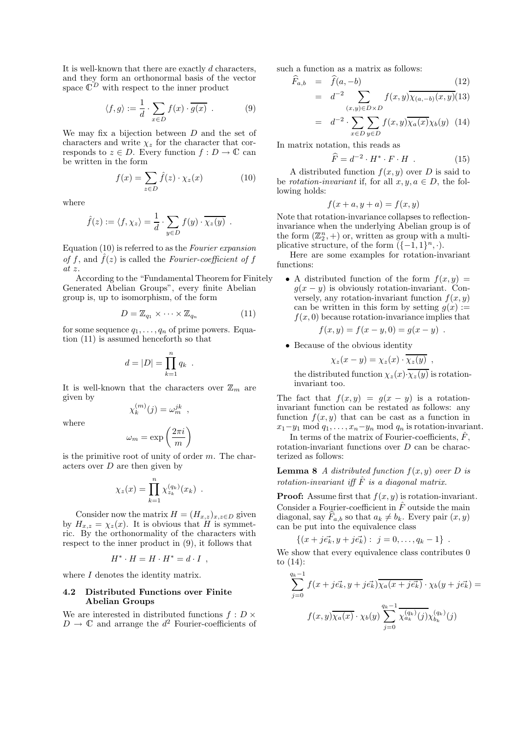It is well-known that there are exactly  $d$  characters, and they form an orthonormal basis of the vector space  $\tilde{\mathbb{C}}^D$  with respect to the inner product

$$
\langle f, g \rangle := \frac{1}{d} \cdot \sum_{x \in D} f(x) \cdot \overline{g(x)} . \tag{9}
$$

We may fix a bijection between D and the set of characters and write  $\chi_z$  for the character that corresponds to  $z \in D$ . Every function  $f: D \to \mathbb{C}$  can be written in the form

$$
f(x) = \sum_{z \in D} \hat{f}(z) \cdot \chi_z(x) \tag{10}
$$

where

$$
\hat{f}(z) := \langle f, \chi_z \rangle = \frac{1}{d} \cdot \sum_{y \in D} f(y) \cdot \overline{\chi_z(y)}.
$$

Equation (10) is referred to as the Fourier expansion of f, and  $\hat{f}(z)$  is called the Fourier-coefficient of f at z.

According to the "Fundamental Theorem for Finitely Generated Abelian Groups", every finite Abelian group is, up to isomorphism, of the form

$$
D = \mathbb{Z}_{q_1} \times \cdots \times \mathbb{Z}_{q_n} \tag{11}
$$

for some sequence  $q_1, \ldots, q_n$  of prime powers. Equation (11) is assumed henceforth so that

$$
d=|D|=\prod_{k=1}^n q_k.
$$

It is well-known that the characters over  $\mathbb{Z}_m$  are given by

 $\omega_{m}^{(m)}(j) = \omega_{m}^{jk}$ ,

 $\chi_k^{(m)}$ 

where

$$
\omega_m = \exp\left(\frac{2\pi i}{m}\right)
$$

is the primitive root of unity of order  $m$ . The characters over  $D$  are then given by

$$
\chi_z(x) = \prod_{k=1}^n \chi_{z_k}^{(q_k)}(x_k) .
$$

Consider now the matrix  $H = (H_{x,z})_{x,z \in D}$  given by  $H_{x,z} = \chi_z(x)$ . It is obvious that H is symmetric. By the orthonormality of the characters with respect to the inner product in (9), it follows that

$$
H^* \cdot H = H \cdot H^* = d \cdot I \enspace ,
$$

where  $I$  denotes the identity matrix.

#### 4.2 Distributed Functions over Finite Abelian Groups

We are interested in distributed functions  $f : D \times$  $D \to \mathbb{C}$  and arrange the  $d^2$  Fourier-coefficients of such a function as a matrix as follows:

$$
F_{a,b} = f(a, -b)
$$
\n
$$
= d^{-2} \sum_{(x,y)\in D\times D} f(x,y) \overline{\chi_{(a,-b)}(x,y)}(13)
$$
\n(12)

$$
= d^{-2} \cdot \sum_{x \in D} \sum_{y \in D} f(x, y) \overline{\chi_a(x)} \chi_b(y) \quad (14)
$$

In matrix notation, this reads as

$$
\widehat{F} = d^{-2} \cdot H^* \cdot F \cdot H \quad . \tag{15}
$$

A distributed function  $f(x, y)$  over D is said to be rotation-invariant if, for all  $x, y, a \in D$ , the following holds:

$$
f(x+a, y+a) = f(x, y)
$$

Note that rotation-invariance collapses to reflectioninvariance when the underlying Abelian group is of the form  $(\mathbb{Z}_2^n, +)$  or, written as group with a multiplicative structure, of the form  $(\{-1, 1\}^n, \cdot)$ .

Here are some examples for rotation-invariant functions:

• A distributed function of the form  $f(x, y) =$  $g(x - y)$  is obviously rotation-invariant. Conversely, any rotation-invariant function  $f(x, y)$ can be written in this form by setting  $g(x) :=$  $f(x, 0)$  because rotation-invariance implies that

$$
f(x, y) = f(x - y, 0) = g(x - y) .
$$

• Because of the obvious identity

$$
\chi_z(x-y)=\chi_z(x)\cdot\chi_z(y) ,
$$

the distributed function  $\chi_z(x) \cdot \overline{\chi_z(y)}$  is rotationinvariant too.

The fact that  $f(x, y) = g(x - y)$  is a rotationinvariant function can be restated as follows: any function  $f(x, y)$  that can be cast as a function in  $x_1-y_1 \mod q_1, \ldots, x_n-y_n \mod q_n$  is rotation-invariant.

In terms of the matrix of Fourier-coefficients,  $\hat{F}$ , rotation-invariant functions over D can be characterized as follows:

**Lemma 8** A distributed function  $f(x, y)$  over D is rotation-invariant iff  $\hat{F}$  is a diagonal matrix.

**Proof:** Assume first that  $f(x, y)$  is rotation-invariant. Consider a Fourier-coefficient in  $\hat{F}$  outside the main diagonal, say  $F_{a,b}$  so that  $a_k \neq b_k$ . Every pair  $(x, y)$ can be put into the equivalence class

$$
\{(x+j\vec{e_k},y+j\vec{e_k}): j=0,\ldots,q_k-1\} .
$$

We show that every equivalence class contributes 0 to  $(14)$ :

$$
\sum_{j=0}^{q_k-1} f(x+j\vec{e_k}, y+j\vec{e_k}) \overline{\chi_a(x+j\vec{e_k})} \cdot \chi_b(y+j\vec{e_k}) =
$$
  

$$
f(x,y) \overline{\chi_a(x)} \cdot \chi_b(y) \sum_{j=0}^{q_k-1} \overline{\chi_{a_k}^{(q_k)}(j)} \chi_{b_k}^{(q_k)}(j)
$$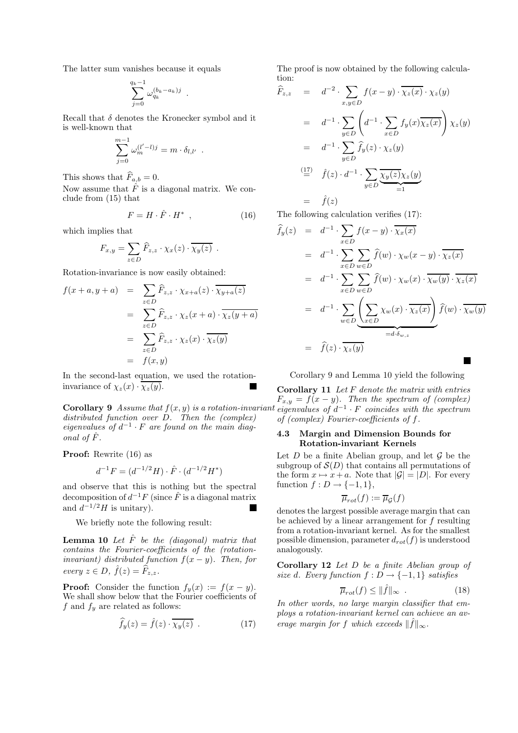The latter sum vanishes because it equals

$$
\sum_{j=0}^{q_k-1} \omega_{q_k}^{(b_k-a_k)j} .
$$

Recall that  $\delta$  denotes the Kronecker symbol and it is well-known that

$$
\sum_{j=0}^{m-1} \omega_m^{(l'-l)j} = m \cdot \delta_{l,l'}.
$$

This shows that  $\widehat{F}_{a,b} = 0$ .

Now assume that  $\hat{F}$  is a diagonal matrix. We conclude from (15) that

$$
F = H \cdot \hat{F} \cdot H^* \quad , \tag{16}
$$

which implies that

$$
F_{x,y} = \sum_{z \in D} \widehat{F}_{z,z} \cdot \chi_x(z) \cdot \overline{\chi_y(z)} \ .
$$

Rotation-invariance is now easily obtained:

$$
f(x+a, y+a) = \sum_{z \in D} \widehat{F}_{z,z} \cdot \chi_{x+a}(z) \cdot \overline{\chi_{y+a}(z)}
$$
  

$$
= \sum_{z \in D} \widehat{F}_{z,z} \cdot \chi_z(x+a) \cdot \overline{\chi_z(y+a)}
$$
  

$$
= \sum_{z \in D} \widehat{F}_{z,z} \cdot \chi_z(x) \cdot \overline{\chi_z(y)}
$$
  

$$
= f(x, y)
$$

In the second-last equation, we used the rotationinvariance of  $\chi_z(x) \cdot \overline{\chi_z(y)}$ .

**Corollary 9** Assume that  $f(x, y)$  is a rotation-invariant distributed function over D. Then the (complex) eigenvalues of  $d^{-1} \cdot F$  are found on the main diagonal of  $\hat{F}$ .

Proof: Rewrite (16) as

$$
d^{-1}F = (d^{-1/2}H) \cdot \hat{F} \cdot (d^{-1/2}H^*)
$$

and observe that this is nothing but the spectral decomposition of  $d^{-1}F$  (since  $\hat{F}$  is a diagonal matrix and  $d^{-1/2}H$  is unitary). **The Second** 

We briefly note the following result:

**Lemma 10** Let  $\hat{F}$  be the (diagonal) matrix that contains the Fourier-coefficients of the (rotationinvariant) distributed function  $f(x - y)$ . Then, for every  $z \in D$ ,  $\hat{f}(z) = \widehat{F}_{z,z}$ .

**Proof:** Consider the function  $f_y(x) := f(x - y)$ . We shall show below that the Fourier coefficients of f and  $f_y$  are related as follows:

$$
\widehat{f}_y(z) = \widehat{f}(z) \cdot \overline{\chi_y(z)} . \tag{17}
$$

The proof is now obtained by the following calculation:

$$
\hat{F}_{z,z} = d^{-2} \cdot \sum_{x,y \in D} f(x-y) \cdot \overline{\chi_z(x)} \cdot \chi_z(y)
$$
\n
$$
= d^{-1} \cdot \sum_{y \in D} \left( d^{-1} \cdot \sum_{x \in D} f_y(x) \overline{\chi_z(x)} \right) \chi_z(y)
$$
\n
$$
= d^{-1} \cdot \sum_{y \in D} \hat{f}_y(z) \cdot \chi_z(y)
$$
\n
$$
\stackrel{\text{(17)}}{=} \hat{f}(z) \cdot d^{-1} \cdot \sum_{y \in D} \underbrace{\overline{\chi_y(z)} \chi_z(y)}_{=1}
$$
\n
$$
= \hat{f}(z)
$$

The following calculation verifies (17):

$$
\hat{f}_y(z) = d^{-1} \cdot \sum_{x \in D} f(x - y) \cdot \overline{\chi_x(x)}
$$
\n
$$
= d^{-1} \cdot \sum_{x \in D} \sum_{w \in D} \hat{f}(w) \cdot \chi_w(x - y) \cdot \overline{\chi_z(x)}
$$
\n
$$
= d^{-1} \cdot \sum_{x \in D} \sum_{w \in D} \hat{f}(w) \cdot \chi_w(x) \cdot \overline{\chi_w(y)} \cdot \overline{\chi_z(x)}
$$
\n
$$
= d^{-1} \cdot \sum_{w \in D} \underbrace{\left(\sum_{x \in D} \chi_w(x) \cdot \overline{\chi_z(x)}\right)}_{=d \cdot \delta_{w,z}} \hat{f}(w) \cdot \overline{\chi_w(y)}
$$
\n
$$
= \hat{f}(z) \cdot \overline{\chi_z(y)}
$$

Corollary 9 and Lemma 10 yield the following

**The Second Service** 

Corollary  $11$  Let  $F$  denote the matrix with entries  $F_{x,y} = f(x-y)$ . Then the spectrum of (complex) eigenvalues of  $d^{-1} \cdot F$  coincides with the spectrum of (complex) Fourier-coefficients of f.

## 4.3 Margin and Dimension Bounds for Rotation-invariant Kernels

Let  $D$  be a finite Abelian group, and let  $\mathcal G$  be the subgroup of  $\mathcal{S}(D)$  that contains all permutations of the form  $x \mapsto x + a$ . Note that  $|\mathcal{G}| = |D|$ . For every function  $f: D \to \{-1,1\},\$ 

$$
\overline{\mu}_{rot}(f):=\overline{\mu}_{\mathcal{G}}(f)
$$

denotes the largest possible average margin that can be achieved by a linear arrangement for f resulting from a rotation-invariant kernel. As for the smallest possible dimension, parameter  $d_{rot}(f)$  is understood analogously.

Corollary 12 Let D be a finite Abelian group of size d. Every function  $f : D \to \{-1,1\}$  satisfies

$$
\overline{\mu}_{rot}(f) \le \|\hat{f}\|_{\infty} \quad . \tag{18}
$$

In other words, no large margin classifier that employs a rotation-invariant kernel can achieve an average margin for f which exceeds  $\|\hat{f}\|_{\infty}$ .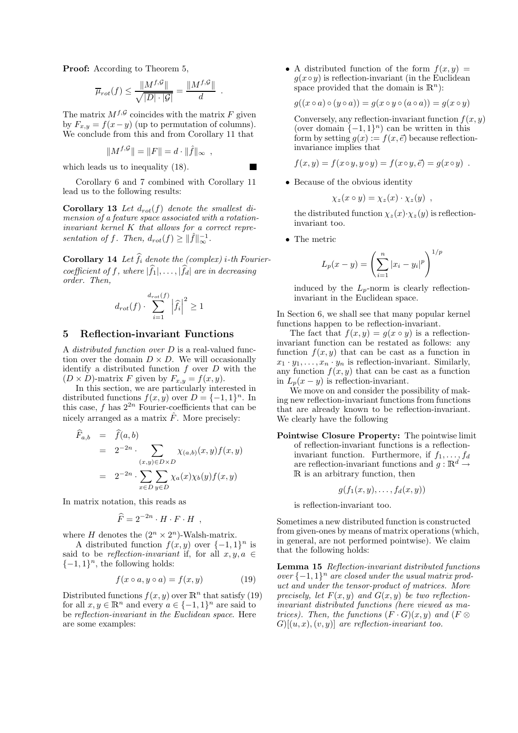Proof: According to Theorem 5,

$$
\overline{\mu}_{rot}(f) \le \frac{\|M^{f,\mathcal{G}}\|}{\sqrt{|D|\cdot|\mathcal{G}|}} = \frac{\|M^{f,\mathcal{G}}\|}{d}
$$

.

**T** 

The matrix  $M^{f, \mathcal{G}}$  coincides with the matrix F given by  $F_{x,y} = f(x-y)$  (up to permutation of columns). We conclude from this and from Corollary 11 that

$$
||M^{f,\mathcal{G}}|| = ||F|| = d \cdot ||\hat{f}||_{\infty} ,
$$

which leads us to inequality (18).

Corollary 6 and 7 combined with Corollary 11 lead us to the following results:

**Corollary 13** Let  $d_{rot}(f)$  denote the smallest dimension of a feature space associated with a rotationinvariant kernel K that allows for a correct representation of f. Then,  $d_{rot}(f) \geq ||\hat{f}||_{\infty}^{-1}$ .

**Corollary 14** Let  $\widehat{f}_i$  denote the (complex) i-th Fouriercoefficient of f, where  $|\widehat{f}_1|, \ldots, |\widehat{f}_d|$  are in decreasing order. Then,

$$
d_{rot}(f) \cdot \sum_{i=1}^{d_{rot}(f)} \left| \hat{f}_i \right|^2 \ge 1
$$

#### 5 Reflection-invariant Functions

A distributed function over D is a real-valued function over the domain  $D \times D$ . We will occasionally identify a distributed function  $f$  over  $D$  with the  $(D \times D)$ -matrix F given by  $F_{x,y} = f(x, y)$ .

In this section, we are particularly interested in distributed functions  $f(x, y)$  over  $D = \{-1, 1\}^n$ . In this case, f has  $2^{2n}$  Fourier-coefficients that can be nicely arranged as a matrix  $\hat{F}$ . More precisely:

$$
\widehat{F}_{a,b} = \widehat{f}(a,b)
$$
\n
$$
= 2^{-2n} \cdot \sum_{(x,y)\in D\times D} \chi_{(a,b)}(x,y) f(x,y)
$$
\n
$$
= 2^{-2n} \cdot \sum_{x\in D} \sum_{y\in D} \chi_a(x) \chi_b(y) f(x,y)
$$

In matrix notation, this reads as

$$
\widehat{F} = 2^{-2n} \cdot H \cdot F \cdot H \quad ,
$$

where H denotes the  $(2^n \times 2^n)$ -Walsh-matrix.

A distributed function  $f(x, y)$  over  $\{-1, 1\}^n$  is said to be reflection-invariant if, for all  $x, y, a \in$  $\{-1,1\}^n$ , the following holds:

$$
f(x \circ a, y \circ a) = f(x, y) \tag{19}
$$

Distributed functions  $f(x, y)$  over  $\mathbb{R}^n$  that satisfy (19) for all  $x, y \in \mathbb{R}^n$  and every  $a \in \{-1, 1\}^n$  are said to be reflection-invariant in the Euclidean space. Here are some examples:

• A distributed function of the form  $f(x, y) =$  $g(x \circ y)$  is reflection-invariant (in the Euclidean space provided that the domain is  $\mathbb{R}^n$ :

 $q((x \circ a) \circ (y \circ a)) = q(x \circ y \circ (a \circ a)) = q(x \circ y)$ 

Conversely, any reflection-invariant function  $f(x, y)$ (over domain  $\{-1,1\}$ <sup>n</sup>) can be written in this form by setting  $g(x) := f(x, \vec{e})$  because reflectioninvariance implies that

$$
f(x,y) = f(x \circ y, y \circ y) = f(x \circ y, \vec{e}) = g(x \circ y) .
$$

• Because of the obvious identity

$$
\chi_z(x \circ y) = \chi_z(x) \cdot \chi_z(y) ,
$$

the distributed function  $\chi_z(x) \cdot \chi_z(y)$  is reflectioninvariant too.

• The metric

$$
L_p(x - y) = \left(\sum_{i=1}^n |x_i - y_i|^p\right)^{1/p}
$$

induced by the  $L_p$ -norm is clearly reflectioninvariant in the Euclidean space.

In Section 6, we shall see that many popular kernel functions happen to be reflection-invariant.

The fact that  $f(x, y) = g(x \circ y)$  is a reflectioninvariant function can be restated as follows: any function  $f(x, y)$  that can be cast as a function in  $x_1 \cdot y_1, \ldots, x_n \cdot y_n$  is reflection-invariant. Similarly, any function  $f(x, y)$  that can be cast as a function in  $L_p(x-y)$  is reflection-invariant.

We move on and consider the possibility of making new reflection-invariant functions from functions that are already known to be reflection-invariant. We clearly have the following

Pointwise Closure Property: The pointwise limit of reflection-invariant functions is a reflectioninvariant function. Furthermore, if  $f_1, \ldots, f_d$ are reflection-invariant functions and  $g : \mathbb{R}^d \to$ <sup>R</sup> is an arbitrary function, then

$$
g(f_1(x,y),\ldots,f_d(x,y))
$$

is reflection-invariant too.

Sometimes a new distributed function is constructed from given-ones by means of matrix operations (which, in general, are not performed pointwise). We claim that the following holds:

Lemma 15 Reflection-invariant distributed functions over  $\{-1, 1\}^n$  are closed under the usual matrix product and under the tensor-product of matrices. More precisely, let  $F(x, y)$  and  $G(x, y)$  be two reflectioninvariant distributed functions (here viewed as matrices). Then, the functions  $(F \cdot G)(x, y)$  and  $(F \otimes$  $G$ [ $(u, x)$ , $(v, y)$ ] are reflection-invariant too.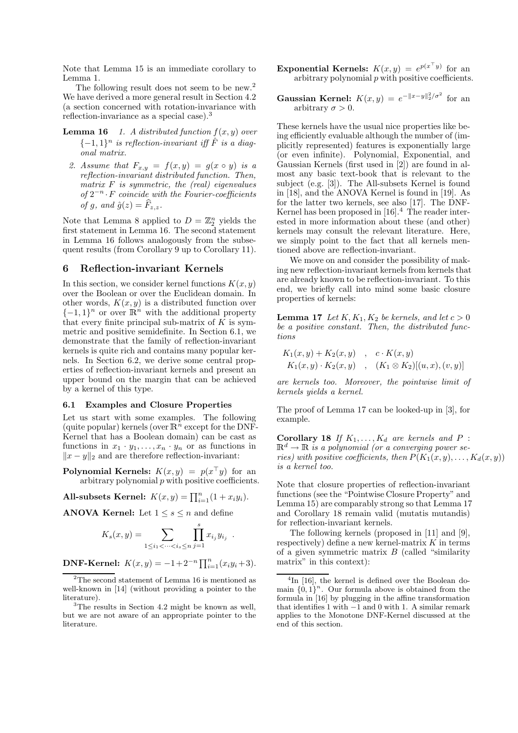Note that Lemma 15 is an immediate corollary to Lemma 1.

The following result does not seem to be new.<sup>2</sup> We have derived a more general result in Section 4.2 (a section concerned with rotation-invariance with reflection-invariance as a special case).<sup>3</sup>

- **Lemma 16** 1. A distributed function  $f(x, y)$  over  ${-1, 1}^n$  is reflection-invariant iff  $\hat{F}$  is a diagonal matrix.
	- 2. Assume that  $F_{x,y} = f(x,y) = g(x \circ y)$  is a reflection-invariant distributed function. Then, matrix  $F$  is symmetric, the (real) eigenvalues of  $2^{-n} \cdot F$  coincide with the Fourier-coefficients of g, and  $\hat{g}(z) = \widehat{F}_{z,z}$ .

Note that Lemma 8 applied to  $D = \mathbb{Z}_2^n$  yields the first statement in Lemma 16. The second statement in Lemma 16 follows analogously from the subsequent results (from Corollary 9 up to Corollary 11).

## 6 Reflection-invariant Kernels

In this section, we consider kernel functions  $K(x, y)$ over the Boolean or over the Euclidean domain. In other words,  $K(x, y)$  is a distributed function over  $\{-1,1\}$ <sup>n</sup> or over  $\mathbb{R}^n$  with the additional property that every finite principal sub-matrix of  $K$  is symmetric and positive semidefinite. In Section 6.1, we demonstrate that the family of reflection-invariant kernels is quite rich and contains many popular kernels. In Section 6.2, we derive some central properties of reflection-invariant kernels and present an upper bound on the margin that can be achieved by a kernel of this type.

### 6.1 Examples and Closure Properties

Let us start with some examples. The following (quite popular) kernels (over  $\mathbb{R}^n$  except for the DNF-Kernel that has a Boolean domain) can be cast as functions in  $x_1 \cdot y_1, \ldots, x_n \cdot y_n$  or as functions in  $||x - y||_2$  and are therefore reflection-invariant:

**Polynomial Kernels:**  $K(x,y) = p(x^{\top}y)$  for an arbitrary polynomial  $p$  with positive coefficients.

All-subsets Kernel:  $K(x, y) = \prod_{i=1}^{n} (1 + x_i y_i)$ .

ANOVA Kernel: Let  $1 \leq s \leq n$  and define

$$
K_s(x, y) = \sum_{1 \le i_1 < \dots < i_s \le n} \prod_{j=1}^s x_{i_j} y_{i_j}
$$

.

**DNF-Kernel:**  $K(x, y) = -1 + 2^{-n} \prod_{i=1}^{n} (x_i y_i + 3)$ .

- **Exponential Kernels:**  $K(x,y) = e^{p(x^\top y)}$  for an arbitrary polynomial  $p$  with positive coefficients.
- Gaussian Kernel:  $K(x,y) = e^{-||x-y||_2^2/\sigma^2}$  for an arbitrary  $\sigma > 0$ .

These kernels have the usual nice properties like being efficiently evaluable although the number of (implicitly represented) features is exponentially large (or even infinite). Polynomial, Exponential, and Gaussian Kernels (first used in [2]) are found in almost any basic text-book that is relevant to the subject (e.g. [3]). The All-subsets Kernel is found in [18], and the ANOVA Kernel is found in [19]. As for the latter two kernels, see also [17]. The DNF-Kernel has been proposed in [16].<sup>4</sup> The reader interested in more information about these (and other) kernels may consult the relevant literature. Here, we simply point to the fact that all kernels mentioned above are reflection-invariant.

We move on and consider the possibility of making new reflection-invariant kernels from kernels that are already known to be reflection-invariant. To this end, we briefly call into mind some basic closure properties of kernels:

**Lemma 17** Let  $K, K_1, K_2$  be kernels, and let  $c > 0$ be a positive constant. Then, the distributed functions

$$
K_1(x, y) + K_2(x, y) , c \cdot K(x, y)
$$
  
\n
$$
K_1(x, y) \cdot K_2(x, y) , (K_1 \otimes K_2)[(u, x), (v, y)]
$$

are kernels too. Moreover, the pointwise limit of kernels yields a kernel.

The proof of Lemma 17 can be looked-up in [3], for example.

Corollary 18 If  $K_1, \ldots, K_d$  are kernels and P :  $\mathbb{R}^d \to \mathbb{R}$  is a polynomial (or a converging power series) with positive coefficients, then  $P(K_1(x, y), \ldots, K_d(x, y))$ is a kernel too.

Note that closure properties of reflection-invariant functions (see the "Pointwise Closure Property" and Lemma 15) are comparably strong so that Lemma 17 and Corollary 18 remain valid (mutatis mutandis) for reflection-invariant kernels.

The following kernels (proposed in [11] and [9], respectively) define a new kernel-matrix  $K$  in terms of a given symmetric matrix  $B$  (called "similarity") matrix" in this context):

 $2$ The second statement of Lemma 16 is mentioned as well-known in [14] (without providing a pointer to the literature).

<sup>&</sup>lt;sup>3</sup>The results in Section 4.2 might be known as well, but we are not aware of an appropriate pointer to the literature.

<sup>&</sup>lt;sup>4</sup>In [16], the kernel is defined over the Boolean domain  $\{0,1\}^n$ . Our formula above is obtained from the formula in [16] by plugging in the affine transformation that identifies 1 with −1 and 0 with 1. A similar remark applies to the Monotone DNF-Kernel discussed at the end of this section.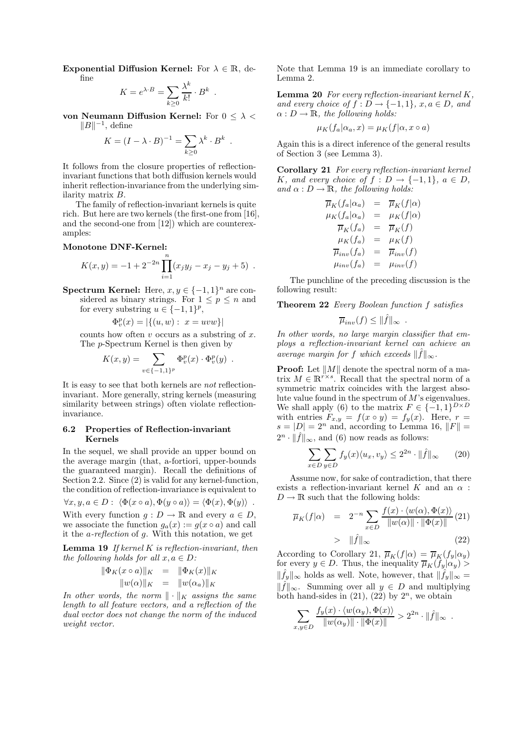Exponential Diffusion Kernel: For  $\lambda \in \mathbb{R}$ , define

$$
K = e^{\lambda \cdot B} = \sum_{k \ge 0} \frac{\lambda^k}{k!} \cdot B^k.
$$

von Neumann Diffusion Kernel: For  $0 \leq \lambda <$  $||B||^{-1}$ , define

$$
K = (I - \lambda \cdot B)^{-1} = \sum_{k \ge 0} \lambda^k \cdot B^k
$$

.

It follows from the closure properties of reflectioninvariant functions that both diffusion kernels would inherit reflection-invariance from the underlying similarity matrix B.

The family of reflection-invariant kernels is quite rich. But here are two kernels (the first-one from [16], and the second-one from [12]) which are counterexamples:

## Monotone DNF-Kernel:

$$
K(x,y) = -1 + 2^{-2n} \prod_{i=1}^{n} (x_j y_j - x_j - y_j + 5) .
$$

Spectrum Kernel: Here,  $x, y \in \{-1, 1\}^n$  are considered as binary strings. For  $1 \leq p \leq n$  and for every substring  $u \in \{-1, 1\}^p$ ,

$$
\Phi_v^p(x) = |\{(u, w): x = uvw\}|
$$

counts how often  $v$  occurs as a substring of  $x$ . The p-Spectrum Kernel is then given by

$$
K(x,y) = \sum_{v \in \{-1,1\}^p} \Phi_v^p(x) \cdot \Phi_v^p(y) .
$$

It is easy to see that both kernels are not reflectioninvariant. More generally, string kernels (measuring similarity between strings) often violate reflectioninvariance.

#### 6.2 Properties of Reflection-invariant Kernels

In the sequel, we shall provide an upper bound on the average margin (that, a-fortiori, upper-bounds the guaranteed margin). Recall the definitions of Section 2.2. Since (2) is valid for any kernel-function, the condition of reflection-invariance is equivalent to

 $\forall x, y, a \in D: \langle \Phi(x \circ a), \Phi(y \circ a) \rangle = \langle \Phi(x), \Phi(y) \rangle$ . With every function  $q: D \to \mathbb{R}$  and every  $a \in D$ , we associate the function  $g_a(x) := g(x \circ a)$  and call it the a-reflection of g. With this notation, we get

**Lemma 19** If kernel  $K$  is reflection-invariant, then the following holds for all  $x, a \in D$ :

$$
\begin{array}{rcl}\n\|\Phi_K(x \circ a)\|_K & = & \|\Phi_K(x)\|_K \\
\|w(\alpha)\|_K & = & \|w(\alpha_a)\|_K\n\end{array}
$$

In other words, the norm  $\|\cdot\|_K$  assigns the same length to all feature vectors, and a reflection of the dual vector does not change the norm of the induced weight vector.

Note that Lemma 19 is an immediate corollary to Lemma 2.

**Lemma 20** For every reflection-invariant kernel  $K$ , and every choice of  $f: D \to \{-1,1\}$ ,  $x, a \in D$ , and  $\alpha : D \to \mathbb{R}$ , the following holds:

$$
\mu_K(f_a|\alpha_a, x) = \mu_K(f|\alpha, x \circ a)
$$

Again this is a direct inference of the general results of Section 3 (see Lemma 3).

Corollary 21 For every reflection-invariant kernel K, and every choice of  $f: D \to \{-1,1\}$ ,  $a \in D$ , and  $\alpha : D \to \mathbb{R}$ , the following holds:

$$
\overline{\mu}_K(f_a|\alpha_a) = \overline{\mu}_K(f|\alpha) \n\mu_K(f_a|\alpha_a) = \mu_K(f|\alpha) \n\overline{\mu}_K(f_a) = \overline{\mu}_K(f) \n\mu_K(f_a) = \mu_K(f) \n\overline{\mu}_{inv}(f_a) = \overline{\mu}_{inv}(f) \n\mu_{inv}(f_a) = \mu_{inv}(f)
$$

The punchline of the preceding discussion is the following result:

Theorem 22 Every Boolean function f satisfies

$$
\overline{\mu}_{inv}(f) \leq ||\hat{f}||_{\infty} .
$$

In other words, no large margin classifier that employs a reflection-invariant kernel can achieve an average margin for f which exceeds  $\|\hat{f}\|_{\infty}$ .

**Proof:** Let  $||M||$  denote the spectral norm of a matrix  $M \in \mathbb{R}^{r \times s}$ . Recall that the spectral norm of a symmetric matrix coincides with the largest absolute value found in the spectrum of M's eigenvalues. We shall apply (6) to the matrix  $F \in \{-1,1\}^{D \times D}$ with entries  $F_{x,y} = f(x \circ y) = f_y(x)$ . Here,  $r =$  $s = |D| = 2^n$  and, according to Lemma 16,  $||F|| =$  $2^n \cdot ||\hat{f}||_{\infty}$ , and (6) now reads as follows:

$$
\sum_{x \in D} \sum_{y \in D} f_y(x) \langle u_x, v_y \rangle \le 2^{2n} \cdot ||\hat{f}||_{\infty} \qquad (20)
$$

Assume now, for sake of contradiction, that there exists a reflection-invariant kernel K and an  $\alpha$ :  $D \to \mathbb{R}$  such that the following holds:

$$
\overline{\mu}_K(f|\alpha) = 2^{-n} \sum_{x \in D} \frac{f(x) \cdot \langle w(\alpha), \Phi(x) \rangle}{\|w(\alpha)\| \cdot \|\Phi(x)\|} (21)
$$
  
>  $\|\hat{f}\|_{\infty}$  (22)

According to Corollary 21,  $\overline{\mu}_K(f|\alpha) = \overline{\mu}_K(f_y|\alpha_y)$ for every  $y \in D$ . Thus, the inequality  $\overline{\mu}_K(f_y|\alpha_y)$  $\|\widehat{f}_y\|_{\infty}$  holds as well. Note, however, that  $\|\widehat{f}_y\|_{\infty}=$  $||\hat{f}||_{\infty}$ . Summing over all  $y \in D$  and multiplying both hand-sides in  $(21)$ ,  $(22)$  by  $2<sup>n</sup>$ , we obtain

$$
\sum_{x,y\in D} \frac{f_y(x)\cdot \langle w(\alpha_y), \Phi(x)\rangle}{\|w(\alpha_y)\| \cdot \|\Phi(x)\|} > 2^{2n} \cdot \|\hat{f}\|_{\infty}.
$$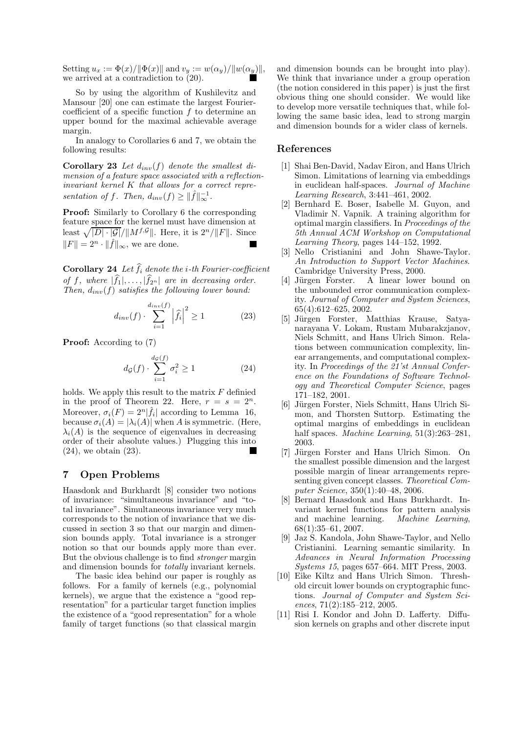Setting  $u_x := \Phi(x)/\|\Phi(x)\|$  and  $v_y := w(\alpha_y)/\|w(\alpha_y)\|$ , we arrived at a contradiction to (20).

So by using the algorithm of Kushilevitz and Mansour [20] one can estimate the largest Fouriercoefficient of a specific function  $f$  to determine an upper bound for the maximal achievable average margin.

In analogy to Corollaries 6 and 7, we obtain the following results:

**Corollary 23** Let  $d_{inv}(f)$  denote the smallest dimension of a feature space associated with a reflectioninvariant kernel K that allows for a correct representation of f. Then,  $d_{inv}(f) \geq ||\hat{f}||_{\infty}^{-1}$ .

Proof: Similarly to Corollary 6 the corresponding feature space for the kernel must have dimension at least  $\sqrt{|D| \cdot |\mathcal{G}|}/||M^{f,\mathcal{G}}||$ . Here, it is  $2^n/||F||$ . Since  $||F|| = 2^n \cdot ||\hat{f}||_{\infty}$ , we are done.

**Corollary 24** Let  $\widehat{f}_i$  denote the *i*-th Fourier-coefficient of f, where  $|\widehat{f}_1|, \ldots, |\widehat{f}_{2^n}|$  are in decreasing order. Then,  $d_{inv}(f)$  satisfies the following lower bound:

$$
d_{inv}(f) \cdot \sum_{i=1}^{d_{inv}(f)} \left| \hat{f}_i \right|^2 \ge 1 \tag{23}
$$

Proof: According to (7)

$$
d_{\mathcal{G}}(f) \cdot \sum_{i=1}^{d_{\mathcal{G}}(f)} \sigma_i^2 \ge 1 \tag{24}
$$

holds. We apply this result to the matrix  $F$  definied in the proof of Theorem 22. Here,  $r = s = 2^n$ . Moreover,  $\sigma_i(F) = 2^n |\hat{f}_i|$  according to Lemma 16, because  $\sigma_i(A) = |\lambda_i(A)|$  when A is symmetric. (Here,  $\lambda_i(A)$  is the sequence of eigenvalues in decreasing order of their absolute values.) Plugging this into (24), we obtain (23).

## 7 Open Problems

Haasdonk and Burkhardt [8] consider two notions of invariance: "simultaneous invariance" and "total invariance". Simultaneous invariance very much corresponds to the notion of invariance that we discussed in section 3 so that our margin and dimension bounds apply. Total invariance is a stronger notion so that our bounds apply more than ever. But the obvious challenge is to find stronger margin and dimension bounds for totally invariant kernels.

The basic idea behind our paper is roughly as follows. For a family of kernels (e.g., polynomial kernels), we argue that the existence a "good representation" for a particular target function implies the existence of a "good representation" for a whole family of target functions (so that classical margin and dimension bounds can be brought into play). We think that invariance under a group operation (the notion considered in this paper) is just the first obvious thing one should consider. We would like to develop more versatile techniques that, while following the same basic idea, lead to strong margin and dimension bounds for a wider class of kernels.

## References

- [1] Shai Ben-David, Nadav Eiron, and Hans Ulrich Simon. Limitations of learning via embeddings in euclidean half-spaces. Journal of Machine Learning Research, 3:441–461, 2002.
- [2] Bernhard E. Boser, Isabelle M. Guyon, and Vladimir N. Vapnik. A training algorithm for optimal margin classifiers. In Proceedings of the 5th Annual ACM Workshop on Computational Learning Theory, pages 144–152, 1992.
- [3] Nello Cristianini and John Shawe-Taylor. An Introduction to Support Vector Machines. Cambridge University Press, 2000.
- [4] Jürgen Forster. A linear lower bound on the unbounded error communication complexity. Journal of Computer and System Sciences, 65(4):612–625, 2002.
- [5] Jürgen Forster, Matthias Krause, Satyanarayana V. Lokam, Rustam Mubarakzjanov, Niels Schmitt, and Hans Ulrich Simon. Relations between communication complexity, linear arrangements, and computational complexity. In Proceedings of the 21'st Annual Conference on the Foundations of Software Technology and Theoretical Computer Science, pages 171–182, 2001.
- [6] Jürgen Forster, Niels Schmitt, Hans Ulrich Simon, and Thorsten Suttorp. Estimating the optimal margins of embeddings in euclidean half spaces. Machine Learning, 51(3):263–281, 2003.
- [7] Jürgen Forster and Hans Ulrich Simon. On the smallest possible dimension and the largest possible margin of linear arrangements representing given concept classes. Theoretical Computer Science, 350(1):40–48, 2006.
- [8] Bernard Haasdonk and Hans Burkhardt. Invariant kernel functions for pattern analysis<br>and machine learning. Machine Learning, and machine learning. 68(1):35–61, 2007.
- [9] Jaz S. Kandola, John Shawe-Taylor, and Nello Cristianini. Learning semantic similarity. In Advances in Neural Information Processing Systems 15, pages 657–664. MIT Press, 2003.
- [10] Eike Kiltz and Hans Ulrich Simon. Threshold circuit lower bounds on cryptographic functions. Journal of Computer and System Sciences, 71(2):185–212, 2005.
- [11] Risi I. Kondor and John D. Lafferty. Diffusion kernels on graphs and other discrete input